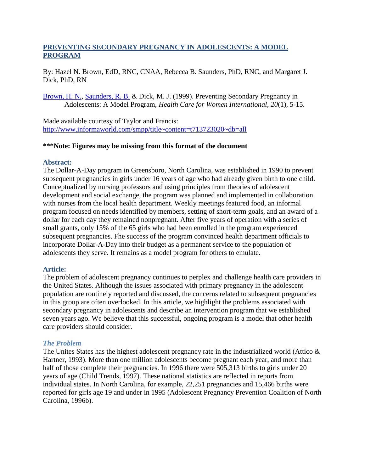# **PREVENTING SECONDARY PREGNANCY IN ADOLESCENTS: A MODEL PROGRAM**

By: Hazel N. Brown, EdD, RNC, CNAA, Rebecca B. Saunders, PhD, RNC, and Margaret J. Dick, PhD, RN

[Brown, H. N.,](http://libres.uncg.edu/ir/uncg/clist.aspx?id=1634) [Saunders, R. B.](http://libres.uncg.edu/ir/uncg/clist.aspx?id=2583) & Dick, M. J. (1999). Preventing Secondary Pregnancy in Adolescents: A Model Program, *Health Care for Women International*, *20*(1), 5-15.

Made available courtesy of Taylor and Francis: <http://www.informaworld.com/smpp/title~content=t713723020~db=all>

## **\*\*\*Note: Figures may be missing from this format of the document**

## **Abstract:**

The Dollar-A-Day program in Greensboro, North Carolina, was established in 1990 to prevent subsequent pregnancies in girls under 16 years of age who had already given birth to one child. Conceptualized by nursing professors and using principles from theories of adolescent development and social exchange, the program was planned and implemented in collaboration with nurses from the local health department. Weekly meetings featured food, an informal program focused on needs identified by members, setting of short-term goals, and an award of a dollar for each day they remained nonpregnant. After five years of operation with a series of small grants, only 15% of the 65 girls who had been enrolled in the program experienced subsequent pregnancies. Fhe success of the program convinced health department officials to incorporate Dollar-A-Day into their budget as a permanent service to the population of adolescents they serve. It remains as a model program for others to emulate.

## **Article:**

The problem of adolescent pregnancy continues to perplex and challenge health care providers in the United States. Although the issues associated with primary pregnancy in the adolescent population are routinely reported and discussed, the concerns related to subsequent pregnancies in this group are often overlooked. In this article, we highlight the problems associated with secondary pregnancy in adolescents and describe an intervention program that we established seven years ago. We believe that this successful, ongoing program is a model that other health care providers should consider.

## *The Problem*

The Unites States has the highest adolescent pregnancy rate in the industrialized world (Attico & Hartner, 1993). More than one million adolescents become pregnant each year, and more than half of those complete their pregnancies. In 1996 there were 505,313 births to girls under 20 years of age (Child Trends, 1997). These national statistics are reflected in reports from individual states. In North Carolina, for example, 22,251 pregnancies and 15,466 births were reported for girls age 19 and under in 1995 (Adolescent Pregnancy Prevention Coalition of North Carolina, 1996b).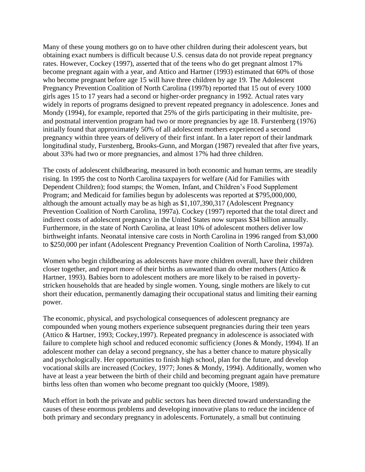Many of these young mothers go on to have other children during their adolescent years, but obtaining exact numbers is difficult because U.S. census data do not provide repeat pregnancy rates. However, Cockey (1997), asserted that of the teens who do get pregnant almost 17% become pregnant again with a year, and Attico and Hartner (1993) estimated that 60% of those who become pregnant before age 15 will have three children by age 19. The Adolescent Pregnancy Prevention Coalition of North Carolina (1997b) reported that 15 out of every 1000 girls ages 15 to 17 years had a second or higher-order pregnancy in 1992. Actual rates vary widely in reports of programs designed to prevent repeated pregnancy in adolescence. Jones and Mondy (1994), for example, reported that 25% of the girls participating in their multisite, preand postnatal intervention program had two or more pregnancies by age 18. Furstenberg (1976) initially found that approximately 50% of all adolescent mothers experienced a second pregnancy within three years of delivery of their first infant. In a later report of their landmark longitudinal study, Furstenberg, Brooks-Gunn, and Morgan (1987) revealed that after five years, about 33% had two or more pregnancies, and almost 17% had three children.

The costs of adolescent childbearing, measured in both economic and human terms, are steadily rising. In 1995 the cost to North Carolina taxpayers for welfare (Aid for Families with Dependent Children); food stamps; the Women, Infant, and Children's Food Supplement Program; and Medicaid for families begun by adolescents was reported at \$795,000,000, although the amount actually may be as high as \$1,107,390,317 (Adolescent Pregnancy Prevention Coalition of North Carolina, 1997a). Cockey (1997) reported that the total direct and indirect costs of adolescent pregnancy in the United States now surpass \$34 billion annually. Furthermore, in the state of North Carolina, at least 10% of adolescent mothers deliver low birthweight infants. Neonatal intensive care costs in North Carolina in 1996 ranged from \$3,000 to \$250,000 per infant (Adolescent Pregnancy Prevention Coalition of North Carolina, 1997a).

Women who begin childbearing as adolescents have more children overall, have their children closer together, and report more of their births as unwanted than do other mothers (Attico & Hartner, 1993). Babies born to adolescent mothers are more likely to be raised in povertystricken households that are headed by single women. Young, single mothers are likely to cut short their education, permanently damaging their occupational status and limiting their earning power.

The economic, physical, and psychological consequences of adolescent pregnancy are compounded when young mothers experience subsequent pregnancies during their teen years (Attico & Hartner, 1993; Cockey,1997). Repeated pregnancy in adolescence is associated with failure to complete high school and reduced economic sufficiency (Jones & Mondy, 1994). If an adolescent mother can delay a second pregnancy, she has a better chance to mature physically and psychologically. Her opportunities to finish high school, plan for the future, and develop vocational skills are increased (Cockey, 1977; Jones & Mondy, 1994). Additionally, women who have at least a year between the birth of their child and becoming pregnant again have premature births less often than women who become pregnant too quickly (Moore, 1989).

Much effort in both the private and public sectors has been directed toward understanding the causes of these enormous problems and developing innovative plans to reduce the incidence of both primary and secondary pregnancy in adolescents. Fortunately, a small but continuing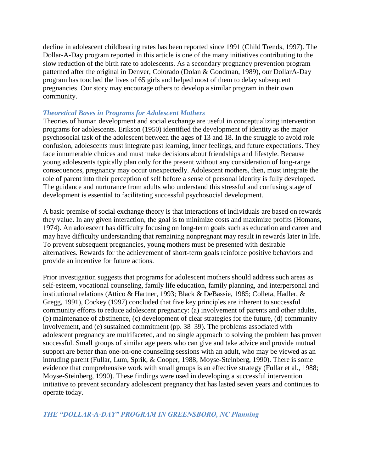decline in adolescent childbearing rates has been reported since 1991 (Child Trends, 1997). The Dollar-A-Day program reported in this article is one of the many initiatives contributing to the slow reduction of the birth rate to adolescents. As a secondary pregnancy prevention program patterned after the original in Denver, Colorado (Dolan & Goodman, 1989), our DollarA-Day program has touched the lives of 65 girls and helped most of them to delay subsequent pregnancies. Our story may encourage others to develop a similar program in their own community.

## *Theoretical Bases in Programs for Adolescent Mothers*

Theories of human development and social exchange are useful in conceptualizing intervention programs for adolescents. Erikson (1950) identified the development of identity as the major psychosocial task of the adolescent between the ages of 13 and 18. In the struggle to avoid role confusion, adolescents must integrate past learning, inner feelings, and future expectations. They face innumerable choices and must make decisions about friendships and lifestyle. Because young adolescents typically plan only for the present without any consideration of long-range consequences, pregnancy may occur unexpectedly. Adolescent mothers, then, must integrate the role of parent into their perception of self before a sense of personal identity is fully developed. The guidance and nurturance from adults who understand this stressful and confusing stage of development is essential to facilitating successful psychosocial development.

A basic premise of social exchange theory is that interactions of individuals are based on rewards they value. In any given interaction, the goal is to minimize costs and maximize profits (Homans, 1974). An adolescent has difficulty focusing on long-term goals such as education and career and may have difficulty understanding that remaining nonpregnant may result in rewards later in life. To prevent subsequent pregnancies, young mothers must be presented with desirable alternatives. Rewards for the achievement of short-term goals reinforce positive behaviors and provide an incentive for future actions.

Prior investigation suggests that programs for adolescent mothers should address such areas as self-esteem, vocational counseling, family life education, family planning, and interpersonal and institutional relations (Attico & Hartner, 1993; Black & DeBassie, 1985; Colleta, Hadler, & Gregg, 1991), Cockey (1997) concluded that five key principles are inherent to successful community efforts to reduce adolescent pregnancy: (a) involvement of parents and other adults, (b) maintenance of abstinence, (c) development of clear strategies for the future, (d) community involvement, and (e) sustained commitment (pp. 38–39). The problems associated with adolescent pregnancy are multifaceted, and no single approach to solving the problem has proven successful. Small groups of similar age peers who can give and take advice and provide mutual support are better than one-on-one counseling sessions with an adult, who may be viewed as an intruding parent (Fullar, Lum, Sprik, & Cooper, 1988; Moyse-Steinberg, 1990). There is some evidence that comprehensive work with small groups is an effective strategy (Fullar et al., 1988; Moyse-Steinberg, 1990). These findings were used in developing a successful intervention initiative to prevent secondary adolescent pregnancy that has lasted seven years and continues to operate today.

## *THE "DOLLAR-A-DAY" PROGRAM IN GREENSBORO, NC Planning*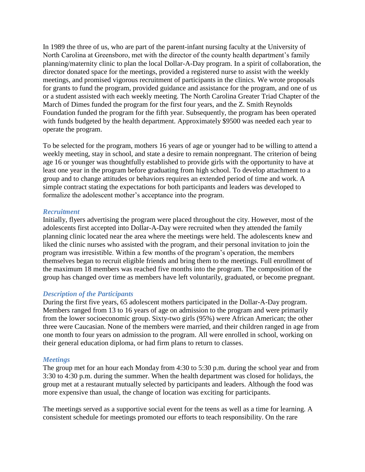In 1989 the three of us, who are part of the parent-infant nursing faculty at the University of North Carolina at Greensboro, met with the director of the county health department's family planning/maternity clinic to plan the local Dollar-A-Day program. In a spirit of collaboration, the director donated space for the meetings, provided a registered nurse to assist with the weekly meetings, and promised vigorous recruitment of participants in the clinics. We wrote proposals for grants to fund the program, provided guidance and assistance for the program, and one of us or a student assisted with each weekly meeting. The North Carolina Greater Triad Chapter of the March of Dimes funded the program for the first four years, and the Z. Smith Reynolds Foundation funded the program for the fifth year. Subsequently, the program has been operated with funds budgeted by the health department. Approximately \$9500 was needed each year to operate the program.

To be selected for the program, mothers 16 years of age or younger had to be willing to attend a weekly meeting, stay in school, and state a desire to remain nonpregnant. The criterion of being age 16 or younger was thoughtfully established to provide girls with the opportunity to have at least one year in the program before graduating from high school. To develop attachment to a group and to change attitudes or behaviors requires an extended period of time and work. A simple contract stating the expectations for both participants and leaders was developed to formalize the adolescent mother's acceptance into the program.

### *Recruitment*

Initially, flyers advertising the program were placed throughout the city. However, most of the adolescents first accepted into Dollar-A-Day were recruited when they attended the family planning clinic located near the area where the meetings were held. The adolescents knew and liked the clinic nurses who assisted with the program, and their personal invitation to join the program was irresistible. Within a few months of the program's operation, the members themselves began to recruit eligible friends and bring them to the meetings. Full enrollment of the maximum 18 members was reached five months into the program. The composition of the group has changed over time as members have left voluntarily, graduated, or become pregnant.

### *Description of the Participants*

During the first five years, 65 adolescent mothers participated in the Dollar-A-Day program. Members ranged from 13 to 16 years of age on admission to the program and were primarily from the lower socioeconomic group. Sixty-two girls (95%) were African American; the other three were Caucasian. None of the members were married, and their children ranged in age from one month to four years on admission to the program. All were enrolled in school, working on their general education diploma, or had firm plans to return to classes.

#### *Meetings*

The group met for an hour each Monday from 4:30 to 5:30 p.m. during the school year and from 3:30 to 4:30 p.m. during the summer. When the health department was closed for holidays, the group met at a restaurant mutually selected by participants and leaders. Although the food was more expensive than usual, the change of location was exciting for participants.

The meetings served as a supportive social event for the teens as well as a time for learning. A consistent schedule for meetings promoted our efforts to teach responsibility. On the rare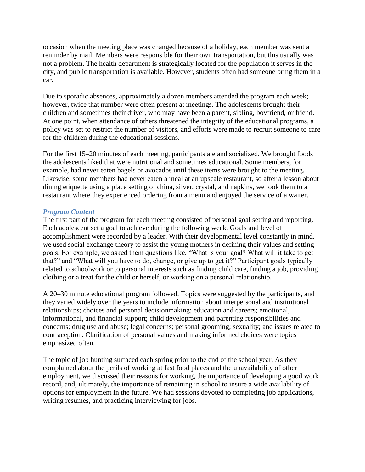occasion when the meeting place was changed because of a holiday, each member was sent a reminder by mail. Members were responsible for their own transportation, but this usually was not a problem. The health department is strategically located for the population it serves in the city, and public transportation is available. However, students often had someone bring them in a car.

Due to sporadic absences, approximately a dozen members attended the program each week; however, twice that number were often present at meetings. The adolescents brought their children and sometimes their driver, who may have been a parent, sibling, boyfriend, or friend. At one point, when attendance of others threatened the integrity of the educational programs, a policy was set to restrict the number of visitors, and efforts were made to recruit someone to care for the children during the educational sessions.

For the first 15–20 minutes of each meeting, participants ate and socialized. We brought foods the adolescents liked that were nutritional and sometimes educational. Some members, for example, had never eaten bagels or avocados until these items were brought to the meeting. Likewise, some members had never eaten a meal at an upscale restaurant, so after a lesson about dining etiquette using a place setting of china, silver, crystal, and napkins, we took them to a restaurant where they experienced ordering from a menu and enjoyed the service of a waiter.

## *Program Content*

The first part of the program for each meeting consisted of personal goal setting and reporting. Each adolescent set a goal to achieve during the following week. Goals and level of accomplishment were recorded by a leader. With their developmental level constantly in mind, we used social exchange theory to assist the young mothers in defining their values and setting goals. For example, we asked them questions like, "What is your goal? What will it take to get that?" and "What will you have to do, change, or give up to get it?" Participant goals typically related to schoolwork or to personal interests such as finding child care, finding a job, providing clothing or a treat for the child or herself, or working on a personal relationship.

A 20–30 minute educational program followed. Topics were suggested by the participants, and they varied widely over the years to include information about interpersonal and institutional relationships; choices and personal decisionmaking; education and careers; emotional, informational, and financial support; child development and parenting responsibilities and concerns; drug use and abuse; legal concerns; personal grooming; sexuality; and issues related to contraception. Clarification of personal values and making informed choices were topics emphasized often.

The topic of job hunting surfaced each spring prior to the end of the school year. As they complained about the perils of working at fast food places and the unavailability of other employment, we discussed their reasons for working, the importance of developing a good work record, and, ultimately, the importance of remaining in school to insure a wide availability of options for employment in the future. We had sessions devoted to completing job applications, writing resumes, and practicing interviewing for jobs.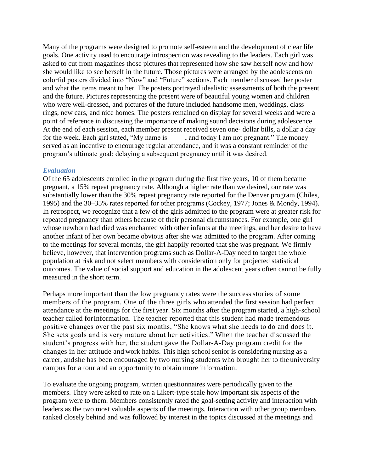Many of the programs were designed to promote self-esteem and the development of clear life goals. One activity used to encourage introspection was revealing to the leaders. Each girl was asked to cut from magazines those pictures that represented how she saw herself now and how she would like to see herself in the future. Those pictures were arranged by the adolescents on colorful posters divided into "Now" and "Future" sections. Each member discussed her poster and what the items meant to her. The posters portrayed idealistic assessments of both the present and the future. Pictures representing the present were of beautiful young women and children who were well-dressed, and pictures of the future included handsome men, weddings, class rings, new cars, and nice homes. The posters remained on display for several weeks and were a point of reference in discussing the importance of making sound decisions during adolescence. At the end of each session, each member present received seven one- dollar bills, a dollar a day for the week. Each girl stated, "My name is , and today I am not pregnant." The money served as an incentive to encourage regular attendance, and it was a constant reminder of the program's ultimate goal: delaying a subsequent pregnancy until it was desired.

#### *Evaluation*

Of the 65 adolescents enrolled in the program during the first five years, 10 of them became pregnant, a 15% repeat pregnancy rate. Although a higher rate than we desired, our rate was substantially lower than the 30% repeat pregnancy rate reported for the Denver program (Chiles, 1995) and the 30–35% rates reported for other programs (Cockey, 1977; Jones & Mondy, 1994). In retrospect, we recognize that a few of the girls admitted to the program were at greater risk for repeated pregnancy than others because of their personal circumstances. For example, one girl whose newborn had died was enchanted with other infants at the meetings, and her desire to have another infant of her own became obvious after she was admitted to the program. After coming to the meetings for several months, the girl happily reported that she was pregnant. We firmly believe, however, that intervention programs such as Dollar-A-Day need to target the whole population at risk and not select members with consideration only for projected statistical outcomes. The value of social support and education in the adolescent years often cannot be fully measured in the short term.

Perhaps more important than the low pregnancy rates were the success stories of some members of the program. One of the three girls who attended the first session had perfect attendance at the meetings for the first year. Six months after the program started, a high-school teacher called forinformation. The teacher reported that this student had made tremendous positive changes over the past six months, "She knows what she needs to do and does it. She sets goals and is very mature about her activities." When the teacher discussed the student's progress with her, the student gave the Dollar-A-Day program credit for the changes in her attitude and work habits. This high school senior is considering nursing as a career, andshe has been encouraged by two nursing students who brought her to the university campus for a tour and an opportunity to obtain more information.

To evaluate the ongoing program, written questionnaires were periodically given to the members. They were asked to rate on a Likert-type scale how important six aspects of the program were to them. Members consistently rated the goal-setting activity and interaction with leaders as the two most valuable aspects of the meetings. Interaction with other group members ranked closely behind and was followed by interest in the topics discussed at the meetings and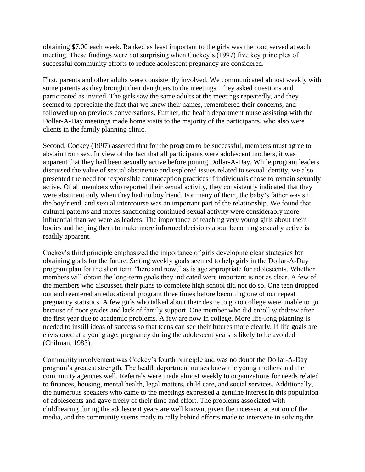obtaining \$7.00 each week. Ranked as least important to the girls was the food served at each meeting. These findings were not surprising when Cockey's (1997) five key principles of successful community efforts to reduce adolescent pregnancy are considered.

First, parents and other adults were consistently involved. We communicated almost weekly with some parents as they brought their daughters to the meetings. They asked questions and participated as invited. The girls saw the same adults at the meetings repeatedly, and they seemed to appreciate the fact that we knew their names, remembered their concerns, and followed up on previous conversations. Further, the health department nurse assisting with the Dollar-A-Day meetings made home visits to the majority of the participants, who also were clients in the family planning clinic.

Second, Cockey (1997) asserted that for the program to be successful, members must agree to abstain from sex. In view of the fact that all participants were adolescent mothers, it was apparent that they had been sexually active before joining Dollar-A-Day. While program leaders discussed the value of sexual abstinence and explored issues related to sexual identity, we also presented the need for responsible contraception practices if individuals chose to remain sexually active. Of all members who reported their sexual activity, they consistently indicated that they were abstinent only when they had no boyfriend. For many of them, the baby's father was still the boyfriend, and sexual intercourse was an important part of the relationship. We found that cultural patterns and mores sanctioning continued sexual activity were considerably more influential than we were as leaders. The importance of teaching very young girls about their bodies and helping them to make more informed decisions about becoming sexually active is readily apparent.

Cockey's third principle emphasized the importance of girls developing clear strategies for obtaining goals for the future. Setting weekly goals seemed to help girls in the Dollar-A-Day program plan for the short term "here and now," as is age appropriate for adolescents. Whether members will obtain the long-term goals they indicated were important is not as clear. A few of the members who discussed their plans to complete high school did not do so. One teen dropped out and reentered an educational program three times before becoming one of our repeat pregnancy statistics. A few girls who talked about their desire to go to college were unable to go because of poor grades and lack of family support. One member who did enroll withdrew after the first year due to academic problems. A few are now in college. More life-long planning is needed to instill ideas of success so that teens can see their futures more clearly. If life goals are envisioned at a young age, pregnancy during the adolescent years is likely to be avoided (Chilman, 1983).

Community involvement was Cockey's fourth principle and was no doubt the Dollar-A-Day program's greatest strength. The health department nurses knew the young mothers and the community agencies well. Referrals were made almost weekly to organizations for needs related to finances, housing, mental health, legal matters, child care, and social services. Additionally, the numerous speakers who came to the meetings expressed a genuine interest in this population of adolescents and gave freely of their time and effort. The problems associated with childbearing during the adolescent years are well known, given the incessant attention of the media, and the community seems ready to rally behind efforts made to intervene in solving the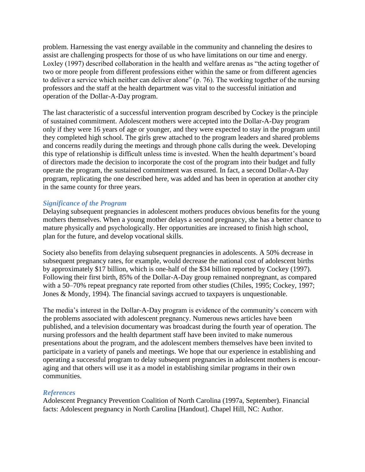problem. Harnessing the vast energy available in the community and channeling the desires to assist are challenging prospects for those of us who have limitations on our time and energy. Loxley (1997) described collaboration in the health and welfare arenas as "the acting together of two or more people from different professions either within the same or from different agencies to deliver a service which neither can deliver alone" (p. 76). The working together of the nursing professors and the staff at the health department was vital to the successful initiation and operation of the Dollar-A-Day program.

The last characteristic of a successful intervention program described by Cockey is the principle of sustained commitment. Adolescent mothers were accepted into the Dollar-A-Day program only if they were 16 years of age or younger, and they were expected to stay in the program until they completed high school. The girls grew attached to the program leaders and shared problems and concerns readily during the meetings and through phone calls during the week. Developing this type of relationship is difficult unless time is invested. When the health department's board of directors made the decision to incorporate the cost of the program into their budget and fully operate the program, the sustained commitment was ensured. In fact, a second Dollar-A-Day program, replicating the one described here, was added and has been in operation at another city in the same county for three years.

### *Significance of the Program*

Delaying subsequent pregnancies in adolescent mothers produces obvious benefits for the young mothers themselves. When a young mother delays a second pregnancy, she has a better chance to mature physically and psychologically. Her opportunities are increased to finish high school, plan for the future, and develop vocational skills.

Society also benefits from delaying subsequent pregnancies in adolescents. A 50% decrease in subsequent pregnancy rates, for example, would decrease the national cost of adolescent births by approximately \$17 billion, which is one-half of the \$34 billion reported by Cockey (1997). Following their first birth, 85% of the Dollar-A-Day group remained nonpregnant, as compared with a 50–70% repeat pregnancy rate reported from other studies (Chiles, 1995; Cockey, 1997; Jones & Mondy, 1994). The financial savings accrued to taxpayers is unquestionable.

The media's interest in the Dollar-A-Day program is evidence of the community's concern with the problems associated with adolescent pregnancy. Numerous news articles have been published, and a television documentary was broadcast during the fourth year of operation. The nursing professors and the health department staff have been invited to make numerous presentations about the program, and the adolescent members themselves have been invited to participate in a variety of panels and meetings. We hope that our experience in establishing and operating a successful program to delay subsequent pregnancies in adolescent mothers is encouraging and that others will use it as a model in establishing similar programs in their own communities.

### *References*

Adolescent Pregnancy Prevention Coalition of North Carolina (1997a, September). Financial facts: Adolescent pregnancy in North Carolina [Handout]. Chapel Hill, NC: Author.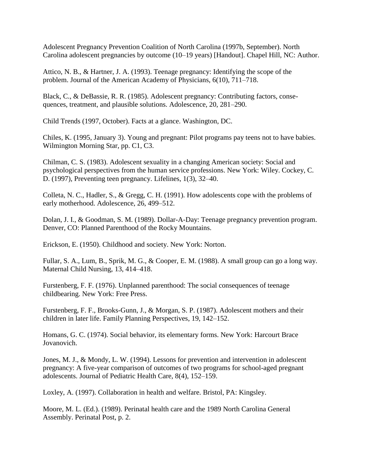Adolescent Pregnancy Prevention Coalition of North Carolina (1997b, September). North Carolina adolescent pregnancies by outcome (10–19 years) [Handout]. Chapel Hill, NC: Author.

Attico, N. B., & Hartner, J. A. (1993). Teenage pregnancy: Identifying the scope of the problem. Journal of the American Academy of Physicians, 6(10), 711–718.

Black, C., & DeBassie, R. R. (1985). Adolescent pregnancy: Contributing factors, consequences, treatment, and plausible solutions. Adolescence, 20, 281–290.

Child Trends (1997, October). Facts at a glance. Washington, DC.

Chiles, K. (1995, January 3). Young and pregnant: Pilot programs pay teens not to have babies. Wilmington Morning Star, pp. C1, C3.

Chilman, C. S. (1983). Adolescent sexuality in a changing American society: Social and psychological perspectives from the human service professions. New York: Wiley. Cockey, C. D. (1997), Preventing teen pregnancy. Lifelines, 1(3), 32–40.

Colleta, N. C., Hadler, S., & Gregg, C. H. (1991). How adolescents cope with the problems of early motherhood. Adolescence, 26, 499–512.

Dolan, J. I., & Goodman, S. M. (1989). Dollar-A-Day: Teenage pregnancy prevention program. Denver, CO: Planned Parenthood of the Rocky Mountains.

Erickson, E. (1950). Childhood and society. New York: Norton.

Fullar, S. A., Lum, B., Sprik, M. G., & Cooper, E. M. (1988). A small group can go a long way. Maternal Child Nursing, 13, 414–418.

Furstenberg, F. F. (1976). Unplanned parenthood: The social consequences of teenage childbearing. New York: Free Press.

Furstenberg, F. F., Brooks-Gunn, J., & Morgan, S. P. (1987). Adolescent mothers and their children in later life. Family Planning Perspectives, 19, 142–152.

Homans, G. C. (1974). Social behavior, its elementary forms. New York: Harcourt Brace Jovanovich.

Jones, M. J., & Mondy, L. W. (1994). Lessons for prevention and intervention in adolescent pregnancy: A five-year comparison of outcomes of two programs for school-aged pregnant adolescents. Journal of Pediatric Health Care, 8(4), 152–159.

Loxley, A. (1997). Collaboration in health and welfare. Bristol, PA: Kingsley.

Moore, M. L. (Ed.). (1989). Perinatal health care and the 1989 North Carolina General Assembly. Perinatal Post, p. 2.